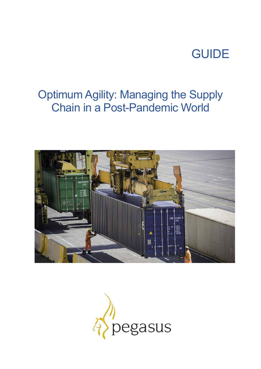# GUIDE

## Optimum Agility: Managing the Supply Chain in a Post-Pandemic World



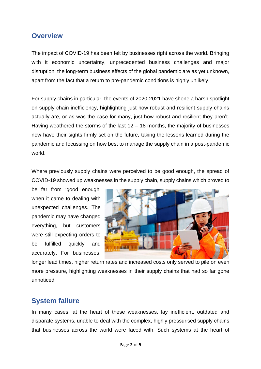#### **Overview**

The impact of COVID-19 has been felt by businesses right across the world. Bringing with it economic uncertainty, unprecedented business challenges and major disruption, the long-term business effects of the global pandemic are as yet unknown, apart from the fact that a return to pre-pandemic conditions is highly unlikely.

For supply chains in particular, the events of 2020-2021 have shone a harsh spotlight on supply chain inefficiency, highlighting just how robust and resilient supply chains actually are, or as was the case for many, just how robust and resilient they aren't. Having weathered the storms of the last  $12 - 18$  months, the majority of businesses now have their sights firmly set on the future, taking the lessons learned during the pandemic and focussing on how best to manage the supply chain in a post-pandemic world.

Where previously supply chains were perceived to be good enough, the spread of COVID-19 showed up weaknesses in the supply chain, supply chains which proved to

be far from 'good enough' when it came to dealing with unexpected challenges. The pandemic may have changed everything, but customers were still expecting orders to be fulfilled quickly and accurately. For businesses,



longer lead times, higher return rates and increased costs only served to pile on even more pressure, highlighting weaknesses in their supply chains that had so far gone unnoticed.

### **System failure**

In many cases, at the heart of these weaknesses, lay inefficient, outdated and disparate systems, unable to deal with the complex, highly pressurised supply chains that businesses across the world were faced with. Such systems at the heart of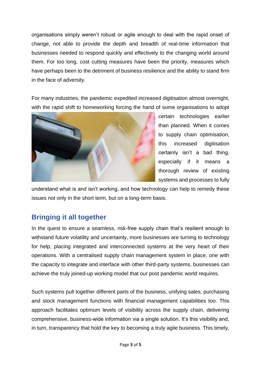organisations simply weren't robust or agile enough to deal with the rapid onset of change, not able to provide the depth and breadth of real-time information that businesses needed to respond quickly and effectively to the changing world around them. For too long, cost cutting measures have been the priority, measures which have perhaps been to the detriment of business resilience and the ability to stand firm in the face of adversity.

For many industries, the pandemic expedited increased digitisation almost overnight, with the rapid shift to homeworking forcing the hand of some organisations to adopt



certain technologies earlier than planned. When it comes to supply chain optimisation, this increased digitisation certainly isn't a bad thing, especially if it means a thorough review of existing systems and processes to fully

understand what is and isn't working, and how technology can help to remedy these issues not only in the short term, but on a long-term basis.

### **Bringing it all together**

In the quest to ensure a seamless, risk-free supply chain that's resilient enough to withstand future volatility and uncertainty, more businesses are turning to technology for help, placing integrated and interconnected systems at the very heart of their operations. With a centralised supply chain management system in place, one with the capacity to integrate and interface with other third-party systems, businesses can achieve the truly joined-up working model that our post pandemic world requires.

Such systems pull together different parts of the business, unifying sales, purchasing and stock management functions with financial management capabilities too. This approach facilitates optimum levels of visibility across the supply chain, delivering comprehensive, business-wide information via a single solution. It's this visibility and, in turn, transparency that hold the key to becoming a truly agile business. This timely,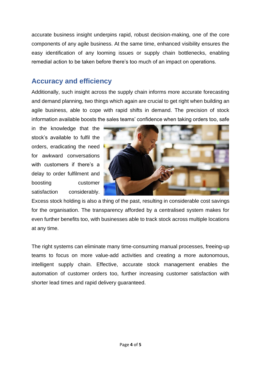accurate business insight underpins rapid, robust decision-making, one of the core components of any agile business. At the same time, enhanced visibility ensures the easy identification of any looming issues or supply chain bottlenecks, enabling remedial action to be taken before there's too much of an impact on operations.

#### **Accuracy and efficiency**

Additionally, such insight across the supply chain informs more accurate forecasting and demand planning, two things which again are crucial to get right when building an agile business, able to cope with rapid shifts in demand. The precision of stock information available boosts the sales teams' confidence when taking orders too, safe

in the knowledge that the stock's available to fulfil the orders, eradicating the need for awkward conversations with customers if there's a delay to order fulfilment and boosting customer satisfaction considerably.



Excess stock holding is also a thing of the past, resulting in considerable cost savings for the organisation. The transparency afforded by a centralised system makes for even further benefits too, with businesses able to track stock across multiple locations at any time.

The right systems can eliminate many time-consuming manual processes, freeing-up teams to focus on more value-add activities and creating a more autonomous, intelligent supply chain. Effective, accurate stock management enables the automation of customer orders too, further increasing customer satisfaction with shorter lead times and rapid delivery guaranteed.